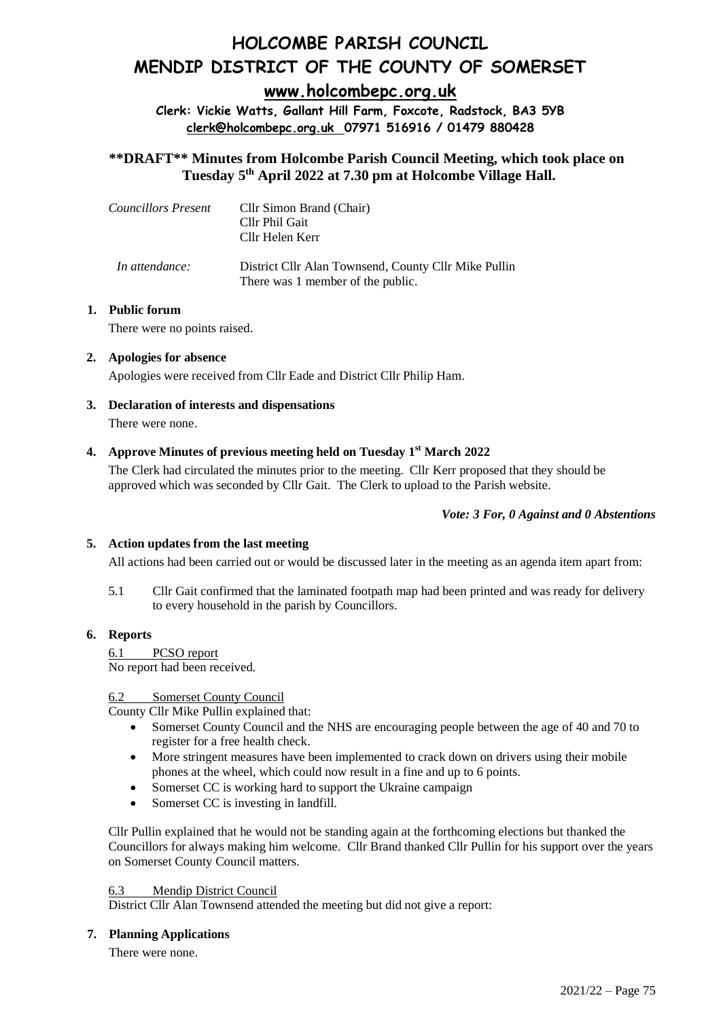# **HOLCOMBE PARISH COUNCIL MENDIP DISTRICT OF THE COUNTY OF SOMERSET**

**[www.holcombepc.org.uk](about:blank)**

**Clerk: Vickie Watts, Gallant Hill Farm, Foxcote, Radstock, BA3 5YB [clerk@holcombepc.org.uk](about:blank) 07971 516916 / 01479 880428**

**\*\*DRAFT\*\* Minutes from Holcombe Parish Council Meeting, which took place on Tuesday 5 th April 2022 at 7.30 pm at Holcombe Village Hall.** 

| Councillors Present | Cllr Simon Brand (Chair)<br>Cllr Phil Gait<br>Cllr Helen Kerr                             |
|---------------------|-------------------------------------------------------------------------------------------|
| In attendance:      | District Cllr Alan Townsend, County Cllr Mike Pullin<br>There was 1 member of the public. |

# **1. Public forum**

There were no points raised.

# **2. Apologies for absence**

Apologies were received from Cllr Eade and District Cllr Philip Ham.

**3. Declaration of interests and dispensations** There were none.

# **4. Approve Minutes of previous meeting held on Tuesday 1 st March 2022**

The Clerk had circulated the minutes prior to the meeting. Cllr Kerr proposed that they should be approved which was seconded by Cllr Gait. The Clerk to upload to the Parish website.

# *Vote: 3 For, 0 Against and 0 Abstentions*

# **5. Action updates from the last meeting**

All actions had been carried out or would be discussed later in the meeting as an agenda item apart from:

5.1 Cllr Gait confirmed that the laminated footpath map had been printed and was ready for delivery to every household in the parish by Councillors.

# **6. Reports**

6.1 PCSO report No report had been received.

# 6.2 Somerset County Council

County Cllr Mike Pullin explained that:

- Somerset County Council and the NHS are encouraging people between the age of 40 and 70 to register for a free health check.
- More stringent measures have been implemented to crack down on drivers using their mobile phones at the wheel, which could now result in a fine and up to 6 points.
- Somerset CC is working hard to support the Ukraine campaign
- Somerset CC is investing in landfill.

Cllr Pullin explained that he would not be standing again at the forthcoming elections but thanked the Councillors for always making him welcome. Cllr Brand thanked Cllr Pullin for his support over the years on Somerset County Council matters.

# 6.3 Mendip District Council

District Cllr Alan Townsend attended the meeting but did not give a report:

# **7. Planning Applications**

There were none.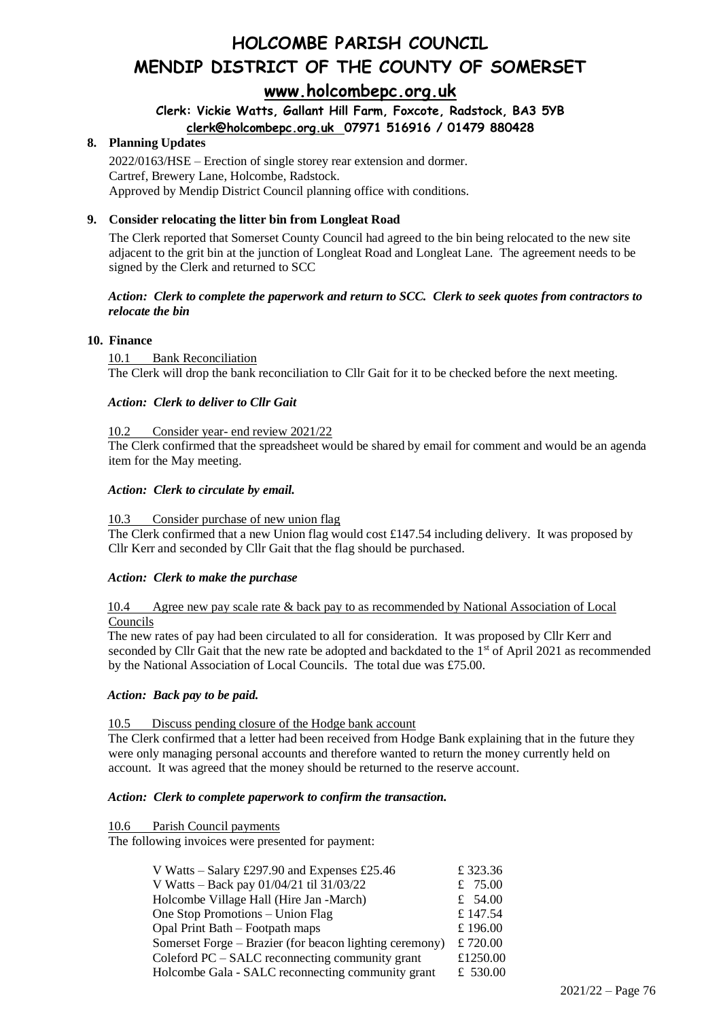# **HOLCOMBE PARISH COUNCIL MENDIP DISTRICT OF THE COUNTY OF SOMERSET [www.holcombepc.org.uk](about:blank)**

# **Clerk: Vickie Watts, Gallant Hill Farm, Foxcote, Radstock, BA3 5YB [clerk@holcombepc.org.uk](about:blank) 07971 516916 / 01479 880428**

# **8. Planning Updates**

2022/0163/HSE – Erection of single storey rear extension and dormer. Cartref, Brewery Lane, Holcombe, Radstock. Approved by Mendip District Council planning office with conditions.

# **9. Consider relocating the litter bin from Longleat Road**

The Clerk reported that Somerset County Council had agreed to the bin being relocated to the new site adjacent to the grit bin at the junction of Longleat Road and Longleat Lane. The agreement needs to be signed by the Clerk and returned to SCC

## *Action: Clerk to complete the paperwork and return to SCC. Clerk to seek quotes from contractors to relocate the bin*

# **10. Finance**

10.1 Bank Reconciliation The Clerk will drop the bank reconciliation to Cllr Gait for it to be checked before the next meeting.

#### *Action: Clerk to deliver to Cllr Gait*

#### Consider year- end review 2021/22

The Clerk confirmed that the spreadsheet would be shared by email for comment and would be an agenda item for the May meeting.

#### *Action: Clerk to circulate by email.*

#### 10.3 Consider purchase of new union flag

The Clerk confirmed that a new Union flag would cost £147.54 including delivery. It was proposed by Cllr Kerr and seconded by Cllr Gait that the flag should be purchased.

# *Action: Clerk to make the purchase*

#### 10.4 Agree new pay scale rate & back pay to as recommended by National Association of Local Councils

The new rates of pay had been circulated to all for consideration. It was proposed by Cllr Kerr and seconded by Cllr Gait that the new rate be adopted and backdated to the 1<sup>st</sup> of April 2021 as recommended by the National Association of Local Councils. The total due was £75.00.

#### *Action: Back pay to be paid.*

#### 10.5 Discuss pending closure of the Hodge bank account

The Clerk confirmed that a letter had been received from Hodge Bank explaining that in the future they were only managing personal accounts and therefore wanted to return the money currently held on account. It was agreed that the money should be returned to the reserve account.

#### *Action: Clerk to complete paperwork to confirm the transaction.*

10.6 Parish Council payments

The following invoices were presented for payment:

| V Watts – Salary £297.90 and Expenses £25.46            | £323.36    |
|---------------------------------------------------------|------------|
| V Watts – Back pay 01/04/21 til 31/03/22                | £ $75.00$  |
| Holcombe Village Hall (Hire Jan -March)                 | £ $54.00$  |
| One Stop Promotions – Union Flag                        | £ 147.54   |
| Opal Print Bath – Footpath maps                         | £ 196.00   |
| Somerset Forge - Brazier (for beacon lighting ceremony) | £ $720.00$ |
| Coleford PC – SALC reconnecting community grant         | £1250.00   |
| Holcombe Gala - SALC reconnecting community grant       | £ 530.00   |